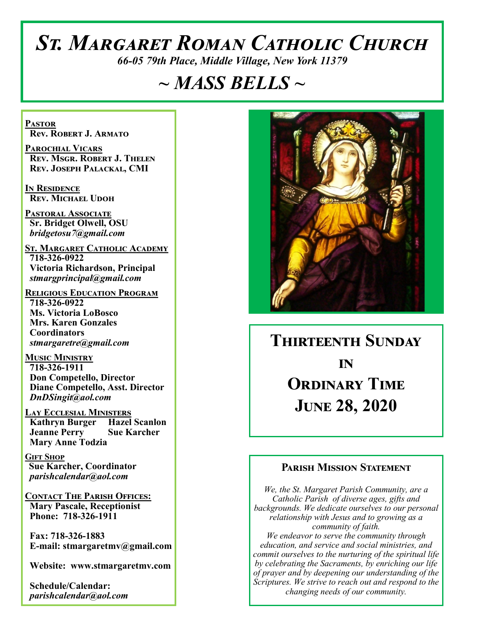# *St. Margaret Roman Catholic Church*

*66-05 79th Place, Middle Village, New York 11379*

## *~ MASS BELLS ~*

**Pastor Rev. Robert J. Armato**

**Parochial Vicars Rev. Msgr. Robert J. Thelen Rev. Joseph Palackal, CMI**

**In Residence Rev. Michael Udoh**

**Pastoral Associate Sr. Bridget Olwell, OSU**  *bridgetosu7@gmail.com*

**St. Margaret Catholic Academy 718-326-0922 Victoria Richardson, Principal**  *stmargprincipal@gmail.com*

**Religious Education Program 718-326-0922 Ms. Victoria LoBosco Mrs. Karen Gonzales Coordinators** *stmargaretre@gmail.com*

**Music Ministry 718-326-1911 Don Competello, Director Diane Competello, Asst. Director** *DnDSingit@aol.com*

**Lay Ecclesial Ministers Kathryn Burger Hazel Scanlon Jeanne Perry Sue Karcher Mary Anne Todzia**

**Gift Shop Sue Karcher, Coordinator** *parishcalendar@aol.com*

**Contact The Parish Offices: Mary Pascale, Receptionist Phone: 718-326-1911** 

 **Fax: 718-326-1883 E-mail: stmargaretmv@gmail.com**

 **Website: www.stmargaretmv.com**

 **Schedule/Calendar:** *parishcalendar@aol.com* 



## **Thirteenth Sunday in ORDINARY TIME June 28, 2020**

#### **Parish Mission Statement**

*We, the St. Margaret Parish Community, are a Catholic Parish of diverse ages, gifts and backgrounds. We dedicate ourselves to our personal relationship with Jesus and to growing as a community of faith. We endeavor to serve the community through education, and service and social ministries, and commit ourselves to the nurturing of the spiritual life by celebrating the Sacraments, by enriching our life of prayer and by deepening our understanding of the Scriptures. We strive to reach out and respond to the changing needs of our community.*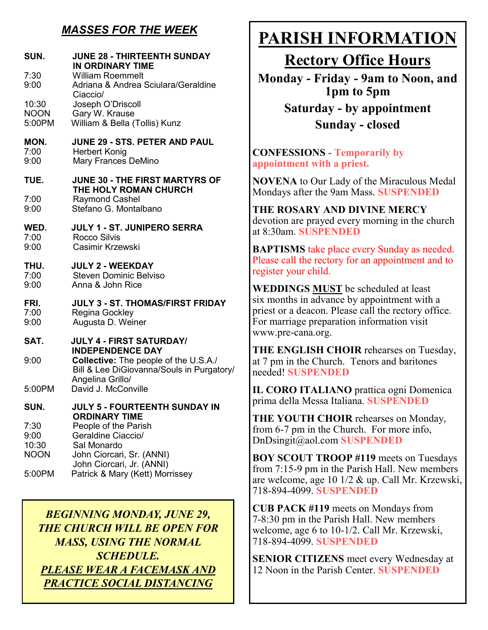### *MASSES FOR THE WEEK*

| <b>William Roemmelt</b><br>Adriana & Andrea Sciulara/Geraldine                                                                                                                                                  |
|-----------------------------------------------------------------------------------------------------------------------------------------------------------------------------------------------------------------|
| Ciaccio/<br>Joseph O'Driscoll<br>Gary W. Krause<br>William & Bella (Tollis) Kunz                                                                                                                                |
| <b>JUNE 29 - STS. PETER AND PAUL</b><br><b>Herbert Konig</b><br>Mary Frances DeMino                                                                                                                             |
| JUNE 30 - THE FIRST MARTYRS OF<br>THE HOLY ROMAN CHURCH                                                                                                                                                         |
| <b>Raymond Cashel</b><br>Stefano G. Montalbano                                                                                                                                                                  |
| <b>JULY 1 - ST. JUNIPERO SERRA</b><br>Rocco Silvis<br>Casimir Krzewski                                                                                                                                          |
| <b>JULY 2 - WEEKDAY</b><br><b>Steven Dominic Belviso</b><br>Anna & John Rice                                                                                                                                    |
| <b>JULY 3 - ST. THOMAS/FIRST FRIDAY</b><br>Regina Gockley<br>Augusta D. Weiner                                                                                                                                  |
| <b>JULY 4 - FIRST SATURDAY/</b><br><b>INDEPENDENCE DAY</b>                                                                                                                                                      |
| <b>Collective:</b> The people of the U.S.A./<br>Bill & Lee DiGiovanna/Souls in Purgatory/<br>Angelina Grillo/                                                                                                   |
| David J. McConville                                                                                                                                                                                             |
| JULY 5 - FOURTEENTH SUNDAY IN<br><b>ORDINARY TIME</b><br>People of the Parish<br>Geraldine Ciaccio/<br>Sal Monardo<br>John Ciorcari, Sr. (ANNI)<br>John Ciorcari, Jr. (ANNI)<br>Patrick & Mary (Kett) Morrissey |
|                                                                                                                                                                                                                 |

*BEGINNING MONDAY, JUNE 29, THE CHURCH WILL BE OPEN FOR MASS, USING THE NORMAL SCHEDULE. PLEASE WEAR A FACEMASK AND PRACTICE SOCIAL DISTANCING* 

## **PARISH INFORMATION**

## **Rectory Office Hours**

**Monday - Friday - 9am to Noon, and 1pm to 5pm**

> **Saturday - by appointment Sunday - closed**

**CONFESSIONS** - **Temporarily by appointment with a priest.** 

**NOVENA** to Our Lady of the Miraculous Medal Mondays after the 9am Mass. **SUSPENDED**

**THE ROSARY AND DIVINE MERCY** devotion are prayed every morning in the church at 8:30am. **SUSPENDED**

**BAPTISMS** take place every Sunday as needed. Please call the rectory for an appointment and to register your child.

**WEDDINGS MUST** be scheduled at least six months in advance by appointment with a priest or a deacon. Please call the rectory office. For marriage preparation information visit www.pre-cana.org.

**THE ENGLISH CHOIR** rehearses on Tuesday, at 7 pm in the Church. Tenors and baritones needed! **SUSPENDED**

**IL CORO ITALIANO** prattica ogni Domenica prima della Messa Italiana. **SUSPENDED**

**THE YOUTH CHOIR** rehearses on Monday, from 6-7 pm in the Church. For more info, DnDsingit@aol.com **SUSPENDED**

**BOY SCOUT TROOP #119** meets on Tuesdays from 7:15-9 pm in the Parish Hall. New members are welcome, age 10 1/2 & up. Call Mr. Krzewski, 718-894-4099. **SUSPENDED**

**CUB PACK #119** meets on Mondays from 7-8:30 pm in the Parish Hall. New members welcome, age 6 to 10-1/2. Call Mr. Krzewski, 718-894-4099. **SUSPENDED**

**SENIOR CITIZENS** meet every Wednesday at 12 Noon in the Parish Center. **SUSPENDED**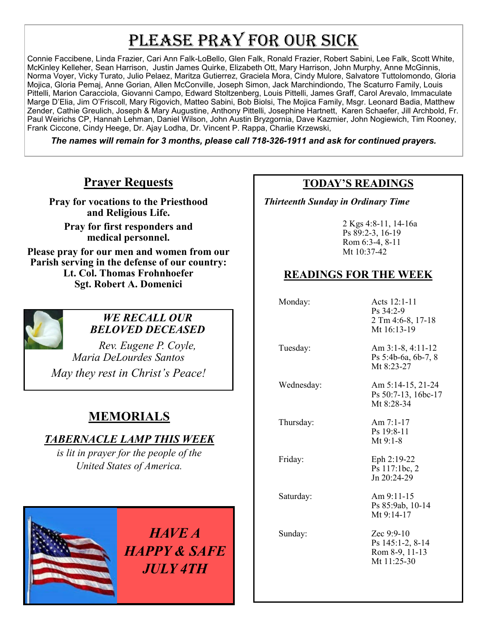# PLEASE PRAY FOR OUR SICK

Connie Faccibene, Linda Frazier, Cari Ann Falk-LoBello, Glen Falk, Ronald Frazier, Robert Sabini, Lee Falk, Scott White, McKinley Kelleher, Sean Harrison, Justin James Quirke, Elizabeth Ott, Mary Harrison, John Murphy, Anne McGinnis, Norma Voyer, Vicky Turato, Julio Pelaez, Maritza Gutierrez, Graciela Mora, Cindy Mulore, Salvatore Tuttolomondo, Gloria Mojica, Gloria Pemaj, Anne Gorian, Allen McConville, Joseph Simon, Jack Marchindiondo, The Scaturro Family, Louis Pittelli, Marion Caracciola, Giovanni Campo, Edward Stoltzenberg, Louis Pittelli, James Graff, Carol Arevalo, Immaculate Marge D'Elia, Jim O'Friscoll, Mary Rigovich, Matteo Sabini, Bob Biolsi, The Mojica Family, Msgr. Leonard Badia, Matthew Zender, Cathie Greulich, Joseph & Mary Augustine, Anthony Pittelli, Josephine Hartnett, Karen Schaefer, Jill Archbold, Fr. Paul Weirichs CP, Hannah Lehman, Daniel Wilson, John Austin Bryzgornia, Dave Kazmier, John Nogiewich, Tim Rooney, Frank Ciccone, Cindy Heege, Dr. Ajay Lodha, Dr. Vincent P. Rappa, Charlie Krzewski,

*The names will remain for 3 months, please call 718-326-1911 and ask for continued prayers.*

#### **Prayer Requests**

**Pray for vocations to the Priesthood and Religious Life.** 

**Pray for first responders and medical personnel.**

**Please pray for our men and women from our Parish serving in the defense of our country: Lt. Col. Thomas Frohnhoefer Sgt. Robert A. Domenici** 



#### *WE RECALL OUR BELOVED DECEASED*

*Rev. Eugene P. Coyle, Maria DeLourdes Santos*

*May they rest in Christ's Peace!*

## **MEMORIALS**

#### *TABERNACLE LAMP THIS WEEK*

*is lit in prayer for the people of the United States of America.* 



*HAVE A HAPPY & SAFE JULY 4TH*

#### **TODAY'S READINGS**

 *Thirteenth Sunday in Ordinary Time*

2 Kgs 4:8-11, 14-16a Ps 89:2-3, 16-19 Rom 6:3-4, 8-11 Mt 10:37-42

### **READINGS FOR THE WEEK**

Monday: Acts 12:1-11 Ps 34:2-9 2 Tm 4:6-8, 17-18 Mt 16:13-19 Tuesday: Am 3:1-8, 4:11-12 Ps 5:4b-6a, 6b-7, 8 Mt 8:23-27 Wednesday: Am 5:14-15, 21-24 Ps 50:7-13, 16bc-17 Mt 8:28-34 Thursday: Am 7:1-17 Ps 19:8-11 Mt 9:1-8 Friday: Eph 2:19-22 Ps 117:1bc, 2 Jn 20:24-29 Saturday: Am 9:11-15 Ps 85:9ab, 10-14 Mt 9:14-17 Sunday: Zec 9:9-10 Ps 145:1-2, 8-14 Rom 8-9, 11-13 Mt 11:25-30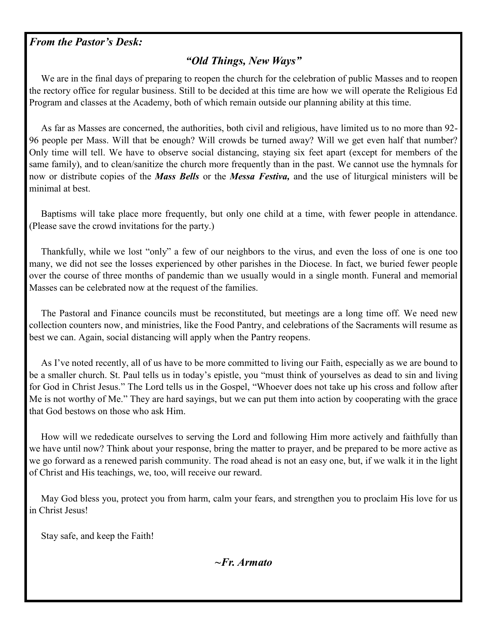#### *From the Pastor's Desk:*

#### *"Old Things, New Ways"*

 We are in the final days of preparing to reopen the church for the celebration of public Masses and to reopen the rectory office for regular business. Still to be decided at this time are how we will operate the Religious Ed Program and classes at the Academy, both of which remain outside our planning ability at this time.

 As far as Masses are concerned, the authorities, both civil and religious, have limited us to no more than 92- 96 people per Mass. Will that be enough? Will crowds be turned away? Will we get even half that number? Only time will tell. We have to observe social distancing, staying six feet apart (except for members of the same family), and to clean/sanitize the church more frequently than in the past. We cannot use the hymnals for now or distribute copies of the *Mass Bells* or the *Messa Festiva,* and the use of liturgical ministers will be minimal at best.

 Baptisms will take place more frequently, but only one child at a time, with fewer people in attendance. (Please save the crowd invitations for the party.)

 Thankfully, while we lost "only" a few of our neighbors to the virus, and even the loss of one is one too many, we did not see the losses experienced by other parishes in the Diocese. In fact, we buried fewer people over the course of three months of pandemic than we usually would in a single month. Funeral and memorial Masses can be celebrated now at the request of the families.

 The Pastoral and Finance councils must be reconstituted, but meetings are a long time off. We need new collection counters now, and ministries, like the Food Pantry, and celebrations of the Sacraments will resume as best we can. Again, social distancing will apply when the Pantry reopens.

 As I've noted recently, all of us have to be more committed to living our Faith, especially as we are bound to be a smaller church. St. Paul tells us in today's epistle, you "must think of yourselves as dead to sin and living for God in Christ Jesus." The Lord tells us in the Gospel, "Whoever does not take up his cross and follow after Me is not worthy of Me." They are hard sayings, but we can put them into action by cooperating with the grace that God bestows on those who ask Him.

 How will we rededicate ourselves to serving the Lord and following Him more actively and faithfully than we have until now? Think about your response, bring the matter to prayer, and be prepared to be more active as we go forward as a renewed parish community. The road ahead is not an easy one, but, if we walk it in the light of Christ and His teachings, we, too, will receive our reward.

 May God bless you, protect you from harm, calm your fears, and strengthen you to proclaim His love for us in Christ Jesus!

Stay safe, and keep the Faith!

*~Fr. Armato*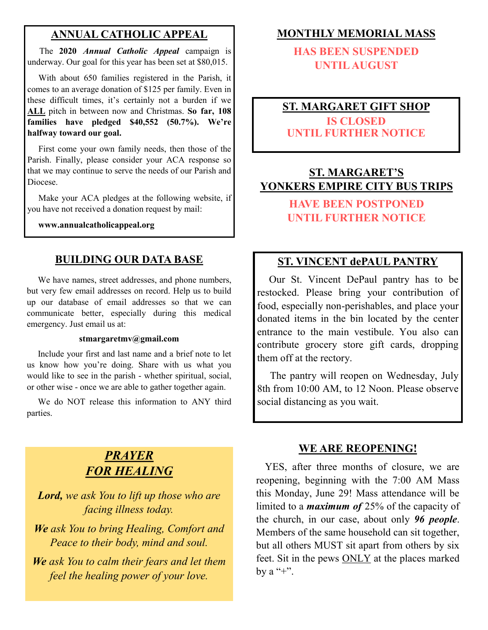#### **ANNUAL CATHOLIC APPEAL**

 The **2020** *Annual Catholic Appeal* campaign is underway. Our goal for this year has been set at \$80,015.

 With about 650 families registered in the Parish, it comes to an average donation of \$125 per family. Even in these difficult times, it's certainly not a burden if we **ALL** pitch in between now and Christmas. **So far, 108 families have pledged \$40,552 (50.7%). We're halfway toward our goal.**

 First come your own family needs, then those of the Parish. Finally, please consider your ACA response so that we may continue to serve the needs of our Parish and Diocese.

Make your ACA pledges at the following website, if you have not received a donation request by mail:

**www.annualcatholicappeal.org** 

#### **BUILDING OUR DATA BASE**

 We have names, street addresses, and phone numbers, but very few email addresses on record. Help us to build up our database of email addresses so that we can communicate better, especially during this medical emergency. Just email us at:

#### **stmargaretmv@gmail.com**

 Include your first and last name and a brief note to let us know how you're doing. Share with us what you would like to see in the parish - whether spiritual, social, or other wise - once we are able to gather together again.

 We do NOT release this information to ANY third parties.

## *PRAYER FOR HEALING*

*Lord, we ask You to lift up those who are facing illness today.*

*We ask You to bring Healing, Comfort and Peace to their body, mind and soul.*

*We ask You to calm their fears and let them feel the healing power of your love.*

#### **MONTHLY MEMORIAL MASS**

**HAS BEEN SUSPENDED UNTIL AUGUST**

## **ST. MARGARET GIFT SHOP**

**IS CLOSED UNTIL FURTHER NOTICE**

### **ST. MARGARET'S YONKERS EMPIRE CITY BUS TRIPS**

## **HAVE BEEN POSTPONED UNTIL FURTHER NOTICE**

#### **ST. VINCENT dePAUL PANTRY**

 Our St. Vincent DePaul pantry has to be restocked. Please bring your contribution of food, especially non-perishables, and place your donated items in the bin located by the center entrance to the main vestibule. You also can contribute grocery store gift cards, dropping them off at the rectory.

 The pantry will reopen on Wednesday, July 8th from 10:00 AM, to 12 Noon. Please observe social distancing as you wait.

#### **WE ARE REOPENING!**

 YES, after three months of closure, we are reopening, beginning with the 7:00 AM Mass this Monday, June 29! Mass attendance will be limited to a *maximum of* 25% of the capacity of the church, in our case, about only *96 people*. Members of the same household can sit together, but all others MUST sit apart from others by six feet. Sit in the pews ONLY at the places marked by a  $"+"$ .